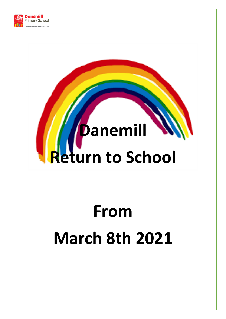

# **Danemill Return to School**

# **From March 8th 2021**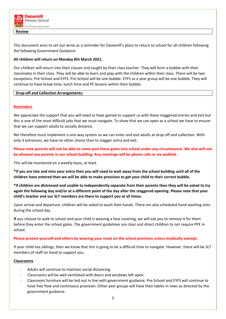

**Review**

This document aims to set out serve as a reminder for Danemill's plans to return to school for all children following the following Government Guidance:

# **All children will return on Monday 8th March 2021.**

Our children will return into their classes and taught by their class teacher. They will form a bubble with their classmates in their class. They will be able to learn and play with the children within their class. There will be two exceptions: Pre-School and EYFS. Pre-School will be one bubble. EYFS as a year group will be one bubble. They will continue to have break time, lunch time and PE lessons within their bubble.

# **Drop-off and Collection Arrangements:**

# **Reminders**

We appreciate the support that you will need to have gained to support us with these staggered entries and exit but this is one of the most difficult jobs that we must navigate. To show that we can open as a school we have to ensure that we can support adults to socially distance.

We therefore must implement a one-way system so we can enter and exit adults at drop off and collection. With only 3 entrances, we have no other choice than to stagger entry and exit.

**Please note parents will not be able to come past these gates into school under any circumstance. We also will not be allowed any parents in our school building. Any meetings will be phone calls or via weblink.** 

This will be monitored on a weekly basis, at least.

**\*If you are late and miss your entry then you will need to wait away from the school building until all of the children have entered then we will be able to make provision to get your child to their correct bubble.** 

**\*If children are distressed and unable to independently separate from their parents then they will be asked to try again the following day and/or at a different point of the day after the staggered opening. Please note that your child's teacher and our SLT members are there to support you at all times.** 

Upon arrival and departure, children will be asked to wash their hands. There are also scheduled hand washing slots during the school day.

**If** you choose to walk to school and your child is wearing a face covering, we will ask you to remove it for them before they enter the school gates. The government guidelines are clear and direct children to not require PPE in school.

### **Please protect yourself and others by wearing your mask on the school premises unless medically exempt.**

If your child has siblings, then we know that this is going to be a difficult time to navigate. However, there will be SLT members of staff on hand to support you.

### **Classrooms**

- Adults will continue to maintain social distancing.
- Classrooms will be well ventilated with doors and windows left open.
- Classroom furniture will be laid out in line with government guidance. Pre-School and EYFS will continue to have free flow and continuous provision. Other year groups will have their tables in rows as directed by the government guidance.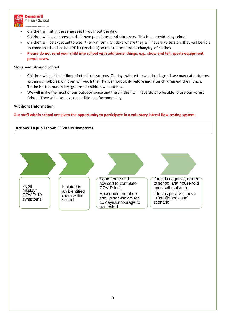

**Danemill Primary School** 

Only the best is good enough.

- Children will sit in the same seat throughout the day.
- Children will have access to their own pencil case and stationery. This is all provided by school.
- Children will be expected to wear their uniform. On days where they will have a PE session, they will be able to come to school in their PE kit (tracksuit) so that this minimises changing of clothes.
- **Please do not send your child into school with additional things, e.g., show and tell, sports equipment, pencil cases.**

# **Movement Around School**

- Children will eat their dinner in their classrooms. On days where the weather is good, we may eat outdoors within our bubbles. Children will wash their hands thoroughly before and after children eat their lunch.
- To the best of our ability, groups of children will not mix.
- We will make the most of our outdoor space and the children will have slots to be able to use our Forest School. They will also have an additional afternoon play.

### **Additional Information:**

**Our staff within school are given the opportunity to participate in a voluntary lateral flow testing system.** 

# **Actions if a pupil shows COVID-19 symptoms**

Pupil displays COVID-19 symptoms. Isolated in an identified room within school.

Send home and advised to complete COVID test. Household members should self-isolate for 10 days.Encourage to

get tested.

If test is negative, return to school and household ends self-isolation.

If test is positive, move to 'confirmed case' scenario.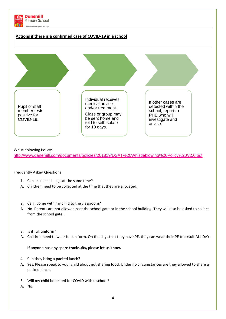

### Whistleblowing Policy:

<http://www.danemill.com/documents/policies/201819/DSAT%20Whistleblowing%20Policy%20V2.0.pdf>

### Frequently Asked Questions

- 1. Can I collect siblings at the same time?
- A. Children need to be collected at the time that they are allocated.
- 2. Can I come with my child to the classroom?
- A. No. Parents are not allowed past the school gate or in the school building. They will also be asked to collect from the school gate.
- 3. Is it full uniform?
- A. Children need to wear full uniform. On the days that they have PE, they can wear their PE tracksuit ALL DAY.

### **If anyone has any spare tracksuits, please let us know.**

- 4. Can they bring a packed lunch?
- A. Yes. Please speak to your child about not sharing food. Under no circumstances are they allowed to share a packed lunch.
- 5. Will my child be tested for COVID within school?
- A. No.